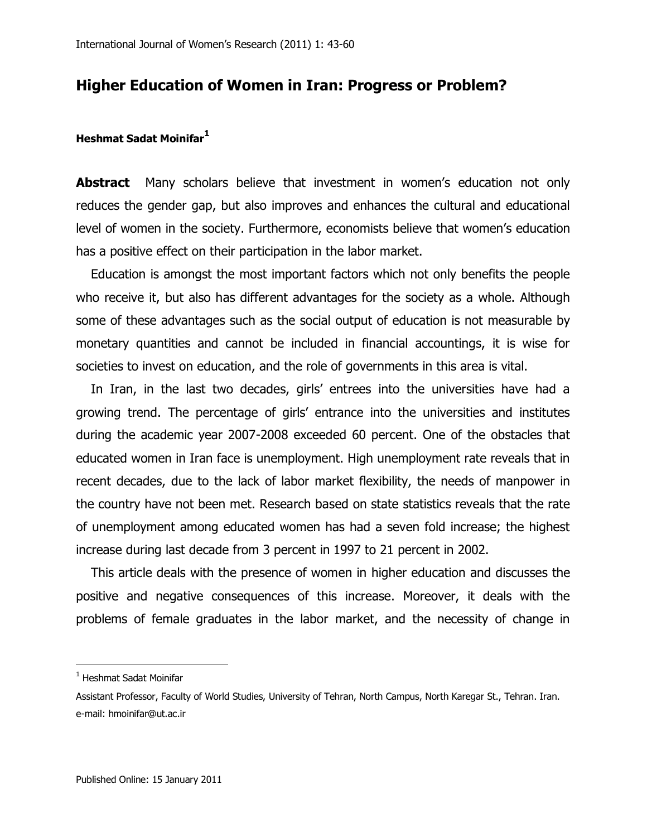# **Higher Education of Women in Iran: Progress or Problem?**

## **Heshmat Sadat Moinifar<sup>1</sup>**

**Abstract** Many scholars believe that investment in women's education not only reduces the gender gap, but also improves and enhances the cultural and educational level of women in the society. Furthermore, economists believe that women's education has a positive effect on their participation in the labor market.

Education is amongst the most important factors which not only benefits the people who receive it, but also has different advantages for the society as a whole. Although some of these advantages such as the social output of education is not measurable by monetary quantities and cannot be included in financial accountings, it is wise for societies to invest on education, and the role of governments in this area is vital.

In Iran, in the last two decades, girls' entrees into the universities have had a growing trend. The percentage of girls" entrance into the universities and institutes during the academic year 2007-2008 exceeded 60 percent. One of the obstacles that educated women in Iran face is unemployment. High unemployment rate reveals that in recent decades, due to the lack of labor market flexibility, the needs of manpower in the country have not been met. Research based on state statistics reveals that the rate of unemployment among educated women has had a seven fold increase; the highest increase during last decade from 3 percent in 1997 to 21 percent in 2002.

This article deals with the presence of women in higher education and discusses the positive and negative consequences of this increase. Moreover, it deals with the problems of female graduates in the labor market, and the necessity of change in

 $\overline{\phantom{a}}$ 

<sup>&</sup>lt;sup>1</sup> Heshmat Sadat Moinifar

Assistant Professor, Faculty of World Studies, University of Tehran, North Campus, North Karegar St., Tehran. Iran. e-mail: hmoinifar@ut.ac.ir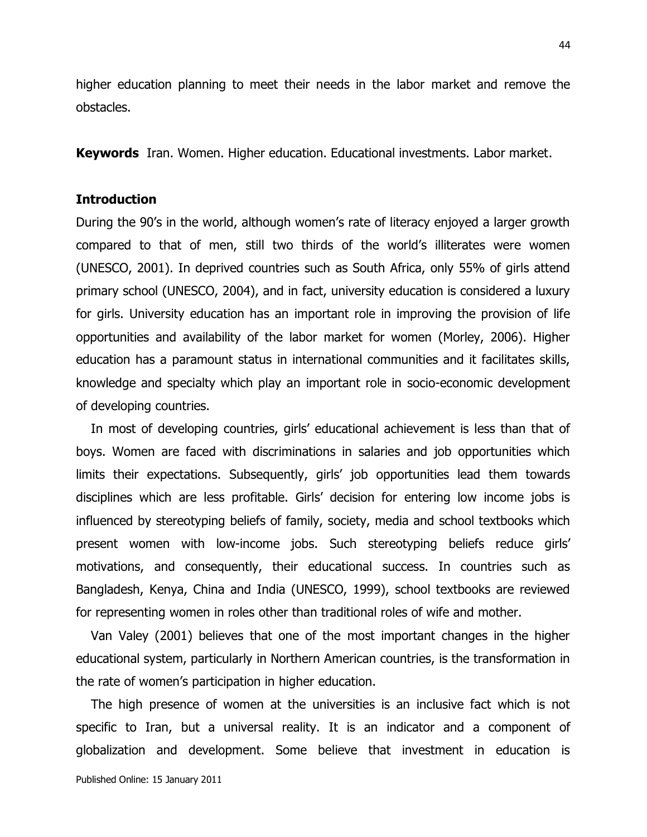higher education planning to meet their needs in the labor market and remove the obstacles.

**Keywords** Iran. Women. Higher education. Educational investments. Labor market.

## **Introduction**

During the 90's in the world, although women's rate of literacy enjoyed a larger growth compared to that of men, still two thirds of the world"s illiterates were women (UNESCO, 2001). In deprived countries such as South Africa, only 55% of girls attend primary school (UNESCO, 2004), and in fact, university education is considered a luxury for girls. University education has an important role in improving the provision of life opportunities and availability of the labor market for women (Morley, 2006). Higher education has a paramount status in international communities and it facilitates skills, knowledge and specialty which play an important role in socio-economic development of developing countries.

In most of developing countries, girls' educational achievement is less than that of boys. Women are faced with discriminations in salaries and job opportunities which limits their expectations. Subsequently, girls" job opportunities lead them towards disciplines which are less profitable. Girls" decision for entering low income jobs is influenced by stereotyping beliefs of family, society, media and school textbooks which present women with low-income jobs. Such stereotyping beliefs reduce girls" motivations, and consequently, their educational success. In countries such as Bangladesh, Kenya, China and India (UNESCO, 1999), school textbooks are reviewed for representing women in roles other than traditional roles of wife and mother.

Van Valey (2001) believes that one of the most important changes in the higher educational system, particularly in Northern American countries, is the transformation in the rate of women"s participation in higher education.

The high presence of women at the universities is an inclusive fact which is not specific to Iran, but a universal reality. It is an indicator and a component of globalization and development. Some believe that investment in education is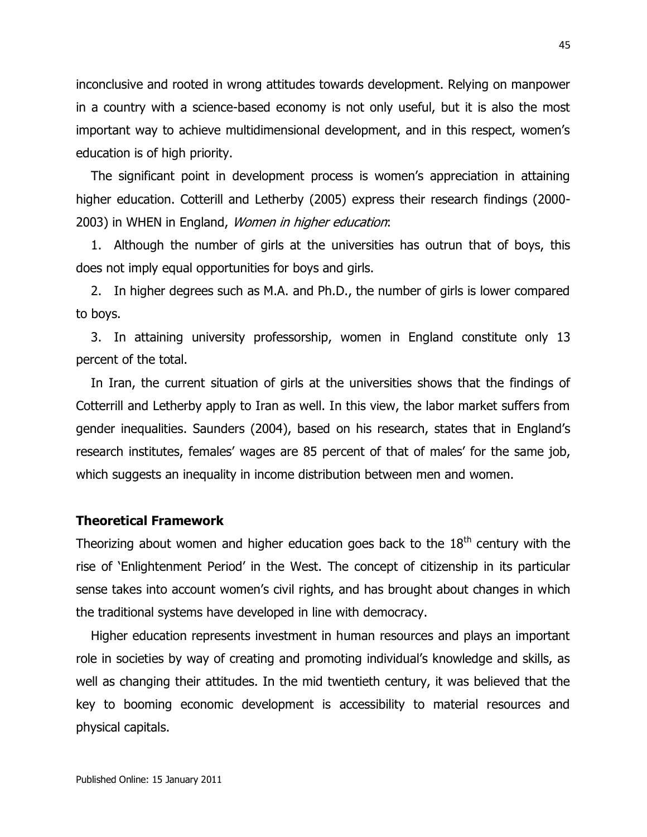inconclusive and rooted in wrong attitudes towards development. Relying on manpower in a country with a science-based economy is not only useful, but it is also the most important way to achieve multidimensional development, and in this respect, women"s education is of high priority.

The significant point in development process is women"s appreciation in attaining higher education. Cotterill and Letherby (2005) express their research findings (2000- 2003) in WHEN in England, Women in higher education:

1. Although the number of girls at the universities has outrun that of boys, this does not imply equal opportunities for boys and girls.

2. In higher degrees such as M.A. and Ph.D., the number of girls is lower compared to boys.

3. In attaining university professorship, women in England constitute only 13 percent of the total.

In Iran, the current situation of girls at the universities shows that the findings of Cotterrill and Letherby apply to Iran as well. In this view, the labor market suffers from gender inequalities. Saunders (2004), based on his research, states that in England"s research institutes, females' wages are 85 percent of that of males' for the same job, which suggests an inequality in income distribution between men and women.

#### **Theoretical Framework**

Theorizing about women and higher education goes back to the  $18<sup>th</sup>$  century with the rise of "Enlightenment Period" in the West. The concept of citizenship in its particular sense takes into account women's civil rights, and has brought about changes in which the traditional systems have developed in line with democracy.

Higher education represents investment in human resources and plays an important role in societies by way of creating and promoting individual"s knowledge and skills, as well as changing their attitudes. In the mid twentieth century, it was believed that the key to booming economic development is accessibility to material resources and physical capitals.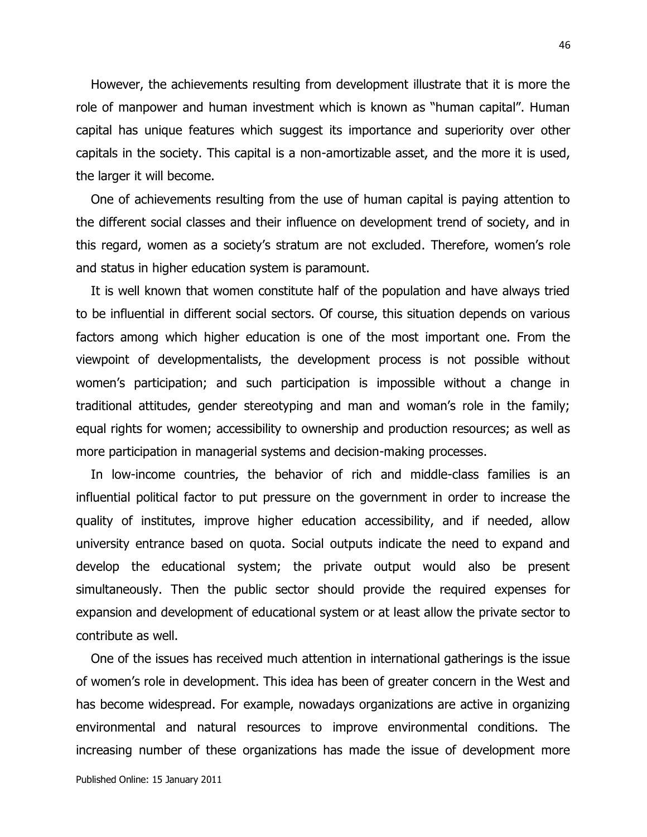However, the achievements resulting from development illustrate that it is more the role of manpower and human investment which is known as "human capital". Human capital has unique features which suggest its importance and superiority over other capitals in the society. This capital is a non-amortizable asset, and the more it is used, the larger it will become.

One of achievements resulting from the use of human capital is paying attention to the different social classes and their influence on development trend of society, and in this regard, women as a society"s stratum are not excluded. Therefore, women"s role and status in higher education system is paramount.

It is well known that women constitute half of the population and have always tried to be influential in different social sectors. Of course, this situation depends on various factors among which higher education is one of the most important one. From the viewpoint of developmentalists, the development process is not possible without women's participation; and such participation is impossible without a change in traditional attitudes, gender stereotyping and man and woman"s role in the family; equal rights for women; accessibility to ownership and production resources; as well as more participation in managerial systems and decision-making processes.

In low-income countries, the behavior of rich and middle-class families is an influential political factor to put pressure on the government in order to increase the quality of institutes, improve higher education accessibility, and if needed, allow university entrance based on quota. Social outputs indicate the need to expand and develop the educational system; the private output would also be present simultaneously. Then the public sector should provide the required expenses for expansion and development of educational system or at least allow the private sector to contribute as well.

One of the issues has received much attention in international gatherings is the issue of women"s role in development. This idea has been of greater concern in the West and has become widespread. For example, nowadays organizations are active in organizing environmental and natural resources to improve environmental conditions. The increasing number of these organizations has made the issue of development more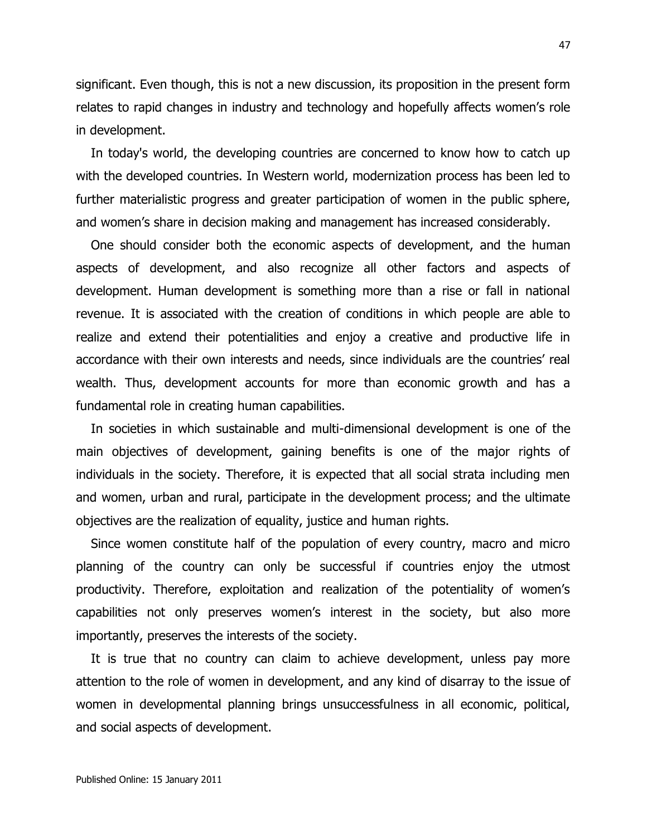significant. Even though, this is not a new discussion, its proposition in the present form relates to rapid changes in industry and technology and hopefully affects women's role in development.

In today's world, the developing countries are concerned to know how to catch up with the developed countries. In Western world, modernization process has been led to further materialistic progress and greater participation of women in the public sphere, and women's share in decision making and management has increased considerably.

One should consider both the economic aspects of development, and the human aspects of development, and also recognize all other factors and aspects of development. Human development is something more than a rise or fall in national revenue. It is associated with the creation of conditions in which people are able to realize and extend their potentialities and enjoy a creative and productive life in accordance with their own interests and needs, since individuals are the countries' real wealth. Thus, development accounts for more than economic growth and has a fundamental role in creating human capabilities.

In societies in which sustainable and multi-dimensional development is one of the main objectives of development, gaining benefits is one of the major rights of individuals in the society. Therefore, it is expected that all social strata including men and women, urban and rural, participate in the development process; and the ultimate objectives are the realization of equality, justice and human rights.

Since women constitute half of the population of every country, macro and micro planning of the country can only be successful if countries enjoy the utmost productivity. Therefore, exploitation and realization of the potentiality of women"s capabilities not only preserves women"s interest in the society, but also more importantly, preserves the interests of the society.

It is true that no country can claim to achieve development, unless pay more attention to the role of women in development, and any kind of disarray to the issue of women in developmental planning brings unsuccessfulness in all economic, political, and social aspects of development.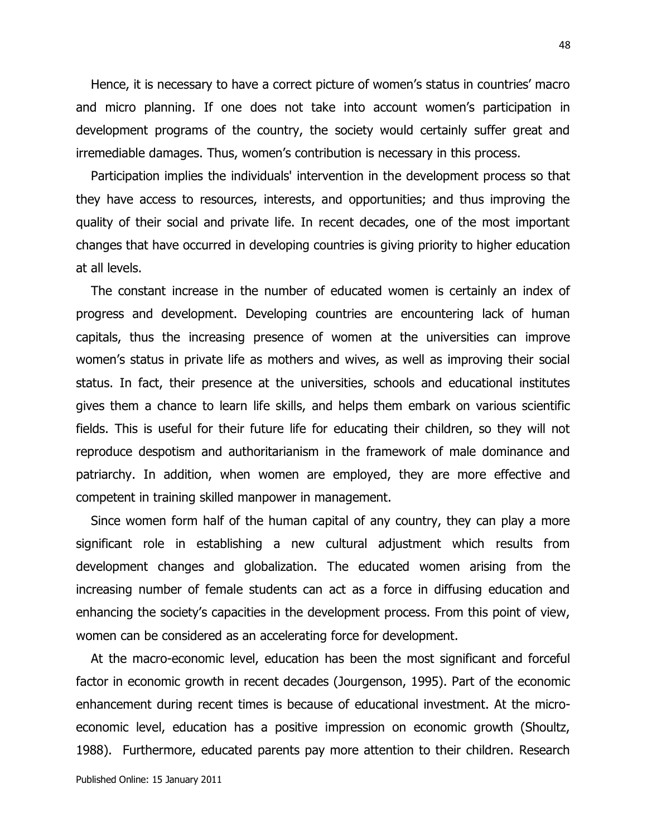Hence, it is necessary to have a correct picture of women's status in countries' macro and micro planning. If one does not take into account women's participation in development programs of the country, the society would certainly suffer great and irremediable damages. Thus, women"s contribution is necessary in this process.

Participation implies the individuals' intervention in the development process so that they have access to resources, interests, and opportunities; and thus improving the quality of their social and private life. In recent decades, one of the most important changes that have occurred in developing countries is giving priority to higher education at all levels.

The constant increase in the number of educated women is certainly an index of progress and development. Developing countries are encountering lack of human capitals, thus the increasing presence of women at the universities can improve women's status in private life as mothers and wives, as well as improving their social status. In fact, their presence at the universities, schools and educational institutes gives them a chance to learn life skills, and helps them embark on various scientific fields. This is useful for their future life for educating their children, so they will not reproduce despotism and authoritarianism in the framework of male dominance and patriarchy. In addition, when women are employed, they are more effective and competent in training skilled manpower in management.

Since women form half of the human capital of any country, they can play a more significant role in establishing a new cultural adjustment which results from development changes and globalization. The educated women arising from the increasing number of female students can act as a force in diffusing education and enhancing the society's capacities in the development process. From this point of view, women can be considered as an accelerating force for development.

At the macro-economic level, education has been the most significant and forceful factor in economic growth in recent decades (Jourgenson, 1995). Part of the economic enhancement during recent times is because of educational investment. At the microeconomic level, education has a positive impression on economic growth (Shoultz, 1988). Furthermore, educated parents pay more attention to their children. Research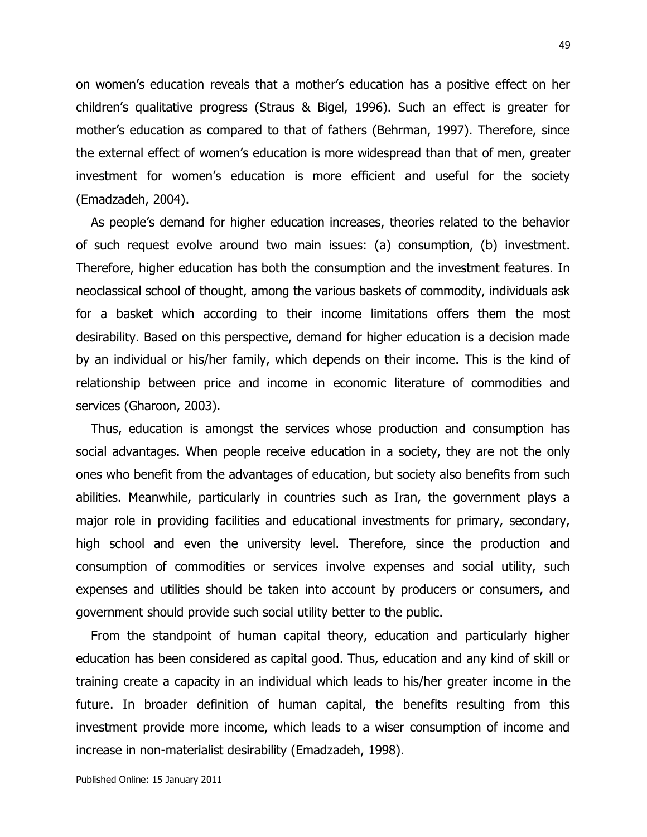on women"s education reveals that a mother"s education has a positive effect on her children"s qualitative progress (Straus & Bigel, 1996). Such an effect is greater for mother"s education as compared to that of fathers (Behrman, 1997). Therefore, since the external effect of women"s education is more widespread than that of men, greater investment for women's education is more efficient and useful for the society (Emadzadeh, 2004).

As people"s demand for higher education increases, theories related to the behavior of such request evolve around two main issues: (a) consumption, (b) investment. Therefore, higher education has both the consumption and the investment features. In neoclassical school of thought, among the various baskets of commodity, individuals ask for a basket which according to their income limitations offers them the most desirability. Based on this perspective, demand for higher education is a decision made by an individual or his/her family, which depends on their income. This is the kind of relationship between price and income in economic literature of commodities and services (Gharoon, 2003).

Thus, education is amongst the services whose production and consumption has social advantages. When people receive education in a society, they are not the only ones who benefit from the advantages of education, but society also benefits from such abilities. Meanwhile, particularly in countries such as Iran, the government plays a major role in providing facilities and educational investments for primary, secondary, high school and even the university level. Therefore, since the production and consumption of commodities or services involve expenses and social utility, such expenses and utilities should be taken into account by producers or consumers, and government should provide such social utility better to the public.

From the standpoint of human capital theory, education and particularly higher education has been considered as capital good. Thus, education and any kind of skill or training create a capacity in an individual which leads to his/her greater income in the future. In broader definition of human capital, the benefits resulting from this investment provide more income, which leads to a wiser consumption of income and increase in non-materialist desirability (Emadzadeh, 1998).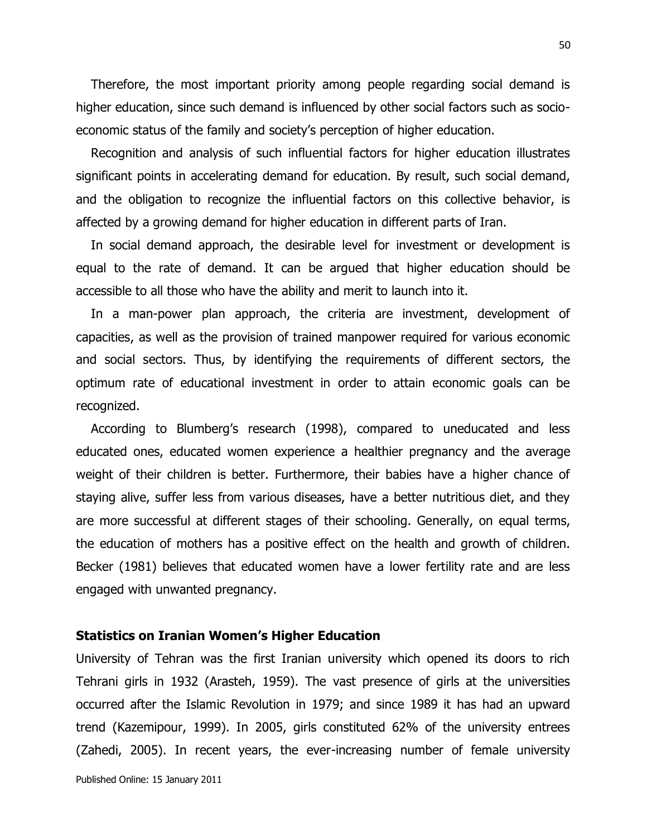Therefore, the most important priority among people regarding social demand is higher education, since such demand is influenced by other social factors such as socioeconomic status of the family and society"s perception of higher education.

Recognition and analysis of such influential factors for higher education illustrates significant points in accelerating demand for education. By result, such social demand, and the obligation to recognize the influential factors on this collective behavior, is affected by a growing demand for higher education in different parts of Iran.

In social demand approach, the desirable level for investment or development is equal to the rate of demand. It can be argued that higher education should be accessible to all those who have the ability and merit to launch into it.

In a man-power plan approach, the criteria are investment, development of capacities, as well as the provision of trained manpower required for various economic and social sectors. Thus, by identifying the requirements of different sectors, the optimum rate of educational investment in order to attain economic goals can be recognized.

According to Blumberg's research (1998), compared to uneducated and less educated ones, educated women experience a healthier pregnancy and the average weight of their children is better. Furthermore, their babies have a higher chance of staying alive, suffer less from various diseases, have a better nutritious diet, and they are more successful at different stages of their schooling. Generally, on equal terms, the education of mothers has a positive effect on the health and growth of children. Becker (1981) believes that educated women have a lower fertility rate and are less engaged with unwanted pregnancy.

#### **Statistics on Iranian Women's Higher Education**

University of Tehran was the first Iranian university which opened its doors to rich Tehrani girls in 1932 (Arasteh, 1959). The vast presence of girls at the universities occurred after the Islamic Revolution in 1979; and since 1989 it has had an upward trend (Kazemipour, 1999). In 2005, girls constituted 62% of the university entrees (Zahedi, 2005). In recent years, the ever-increasing number of female university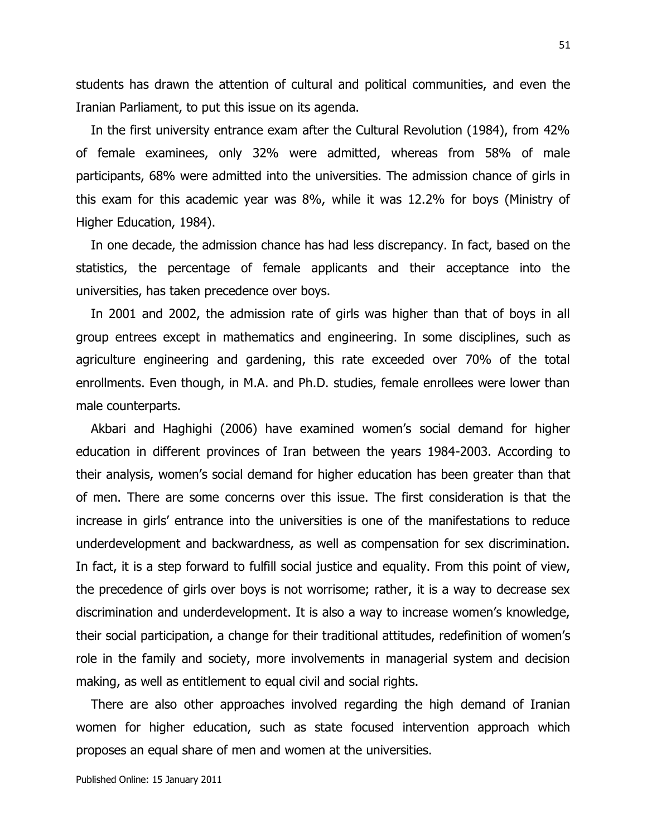students has drawn the attention of cultural and political communities, and even the Iranian Parliament, to put this issue on its agenda.

In the first university entrance exam after the Cultural Revolution (1984), from 42% of female examinees, only 32% were admitted, whereas from 58% of male participants, 68% were admitted into the universities. The admission chance of girls in this exam for this academic year was 8%, while it was 12.2% for boys (Ministry of Higher Education, 1984).

In one decade, the admission chance has had less discrepancy. In fact, based on the statistics, the percentage of female applicants and their acceptance into the universities, has taken precedence over boys.

In 2001 and 2002, the admission rate of girls was higher than that of boys in all group entrees except in mathematics and engineering. In some disciplines, such as agriculture engineering and gardening, this rate exceeded over 70% of the total enrollments. Even though, in M.A. and Ph.D. studies, female enrollees were lower than male counterparts.

Akbari and Haghighi (2006) have examined women"s social demand for higher education in different provinces of Iran between the years 1984-2003. According to their analysis, women"s social demand for higher education has been greater than that of men. There are some concerns over this issue. The first consideration is that the increase in girls" entrance into the universities is one of the manifestations to reduce underdevelopment and backwardness, as well as compensation for sex discrimination. In fact, it is a step forward to fulfill social justice and equality. From this point of view, the precedence of girls over boys is not worrisome; rather, it is a way to decrease sex discrimination and underdevelopment. It is also a way to increase women"s knowledge, their social participation, a change for their traditional attitudes, redefinition of women"s role in the family and society, more involvements in managerial system and decision making, as well as entitlement to equal civil and social rights.

There are also other approaches involved regarding the high demand of Iranian women for higher education, such as state focused intervention approach which proposes an equal share of men and women at the universities.

Published Online: 15 January 2011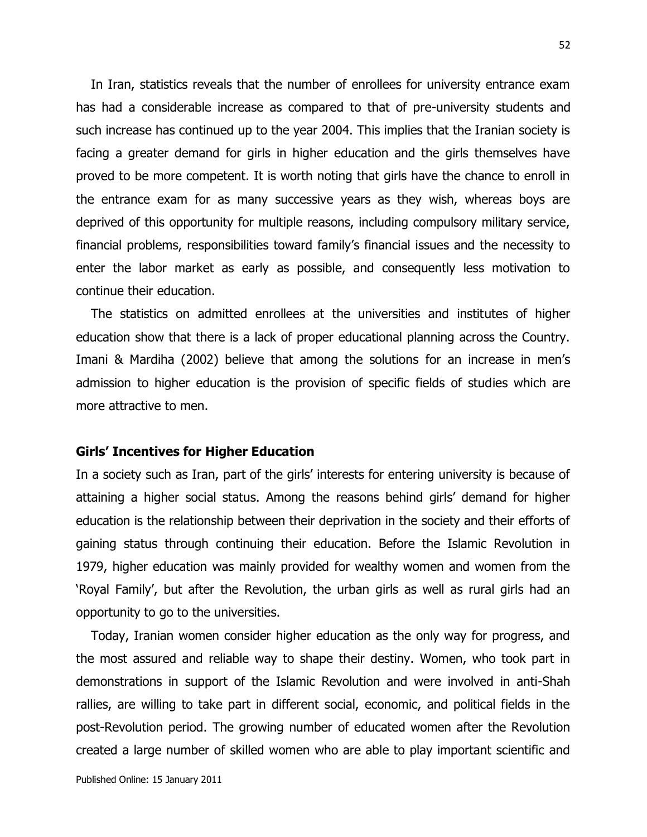In Iran, statistics reveals that the number of enrollees for university entrance exam has had a considerable increase as compared to that of pre-university students and such increase has continued up to the year 2004. This implies that the Iranian society is facing a greater demand for girls in higher education and the girls themselves have proved to be more competent. It is worth noting that girls have the chance to enroll in the entrance exam for as many successive years as they wish, whereas boys are deprived of this opportunity for multiple reasons, including compulsory military service, financial problems, responsibilities toward family"s financial issues and the necessity to enter the labor market as early as possible, and consequently less motivation to continue their education.

The statistics on admitted enrollees at the universities and institutes of higher education show that there is a lack of proper educational planning across the Country. Imani & Mardiha (2002) believe that among the solutions for an increase in men's admission to higher education is the provision of specific fields of studies which are more attractive to men.

#### **Girls' Incentives for Higher Education**

In a society such as Iran, part of the girls' interests for entering university is because of attaining a higher social status. Among the reasons behind girls" demand for higher education is the relationship between their deprivation in the society and their efforts of gaining status through continuing their education. Before the Islamic Revolution in 1979, higher education was mainly provided for wealthy women and women from the "Royal Family", but after the Revolution, the urban girls as well as rural girls had an opportunity to go to the universities.

Today, Iranian women consider higher education as the only way for progress, and the most assured and reliable way to shape their destiny. Women, who took part in demonstrations in support of the Islamic Revolution and were involved in anti-Shah rallies, are willing to take part in different social, economic, and political fields in the post-Revolution period. The growing number of educated women after the Revolution created a large number of skilled women who are able to play important scientific and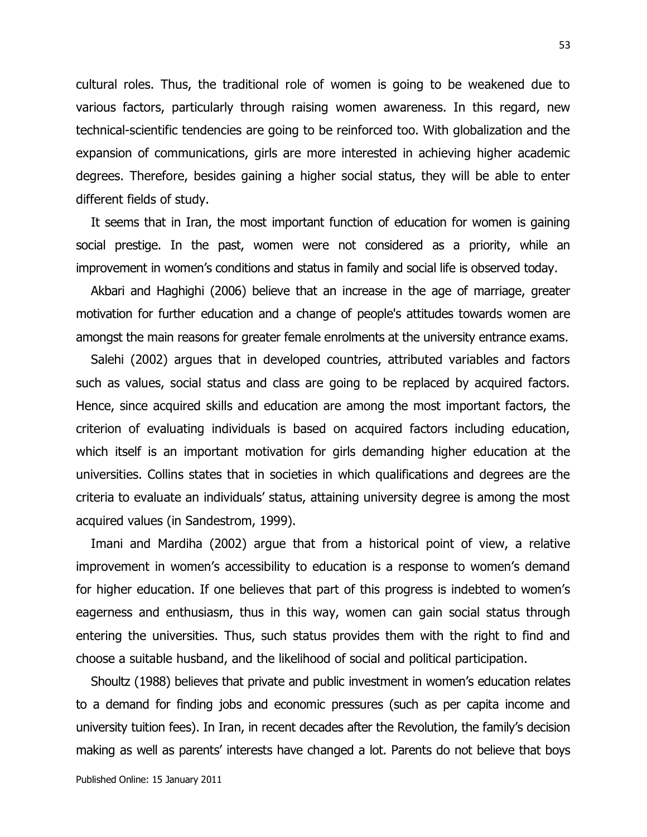cultural roles. Thus, the traditional role of women is going to be weakened due to various factors, particularly through raising women awareness. In this regard, new technical-scientific tendencies are going to be reinforced too. With globalization and the expansion of communications, girls are more interested in achieving higher academic degrees. Therefore, besides gaining a higher social status, they will be able to enter different fields of study.

It seems that in Iran, the most important function of education for women is gaining social prestige. In the past, women were not considered as a priority, while an improvement in women's conditions and status in family and social life is observed today.

Akbari and Haghighi (2006) believe that an increase in the age of marriage, greater motivation for further education and a change of people's attitudes towards women are amongst the main reasons for greater female enrolments at the university entrance exams.

Salehi (2002) argues that in developed countries, attributed variables and factors such as values, social status and class are going to be replaced by acquired factors. Hence, since acquired skills and education are among the most important factors, the criterion of evaluating individuals is based on acquired factors including education, which itself is an important motivation for girls demanding higher education at the universities. Collins states that in societies in which qualifications and degrees are the criteria to evaluate an individuals" status, attaining university degree is among the most acquired values (in Sandestrom, 1999).

Imani and Mardiha (2002) argue that from a historical point of view, a relative improvement in women's accessibility to education is a response to women's demand for higher education. If one believes that part of this progress is indebted to women's eagerness and enthusiasm, thus in this way, women can gain social status through entering the universities. Thus, such status provides them with the right to find and choose a suitable husband, and the likelihood of social and political participation.

Shoultz (1988) believes that private and public investment in women"s education relates to a demand for finding jobs and economic pressures (such as per capita income and university tuition fees). In Iran, in recent decades after the Revolution, the family"s decision making as well as parents" interests have changed a lot. Parents do not believe that boys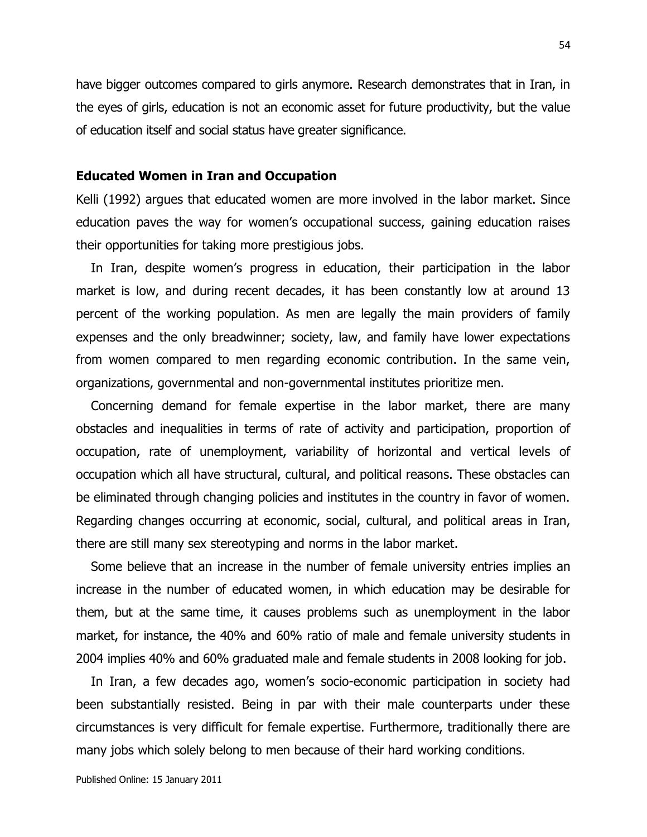have bigger outcomes compared to girls anymore. Research demonstrates that in Iran, in the eyes of girls, education is not an economic asset for future productivity, but the value of education itself and social status have greater significance.

#### **Educated Women in Iran and Occupation**

Kelli (1992) argues that educated women are more involved in the labor market. Since education paves the way for women's occupational success, gaining education raises their opportunities for taking more prestigious jobs.

In Iran, despite women's progress in education, their participation in the labor market is low, and during recent decades, it has been constantly low at around 13 percent of the working population. As men are legally the main providers of family expenses and the only breadwinner; society, law, and family have lower expectations from women compared to men regarding economic contribution. In the same vein, organizations, governmental and non-governmental institutes prioritize men.

Concerning demand for female expertise in the labor market, there are many obstacles and inequalities in terms of rate of activity and participation, proportion of occupation, rate of unemployment, variability of horizontal and vertical levels of occupation which all have structural, cultural, and political reasons. These obstacles can be eliminated through changing policies and institutes in the country in favor of women. Regarding changes occurring at economic, social, cultural, and political areas in Iran, there are still many sex stereotyping and norms in the labor market.

Some believe that an increase in the number of female university entries implies an increase in the number of educated women, in which education may be desirable for them, but at the same time, it causes problems such as unemployment in the labor market, for instance, the 40% and 60% ratio of male and female university students in 2004 implies 40% and 60% graduated male and female students in 2008 looking for job.

In Iran, a few decades ago, women's socio-economic participation in society had been substantially resisted. Being in par with their male counterparts under these circumstances is very difficult for female expertise. Furthermore, traditionally there are many jobs which solely belong to men because of their hard working conditions.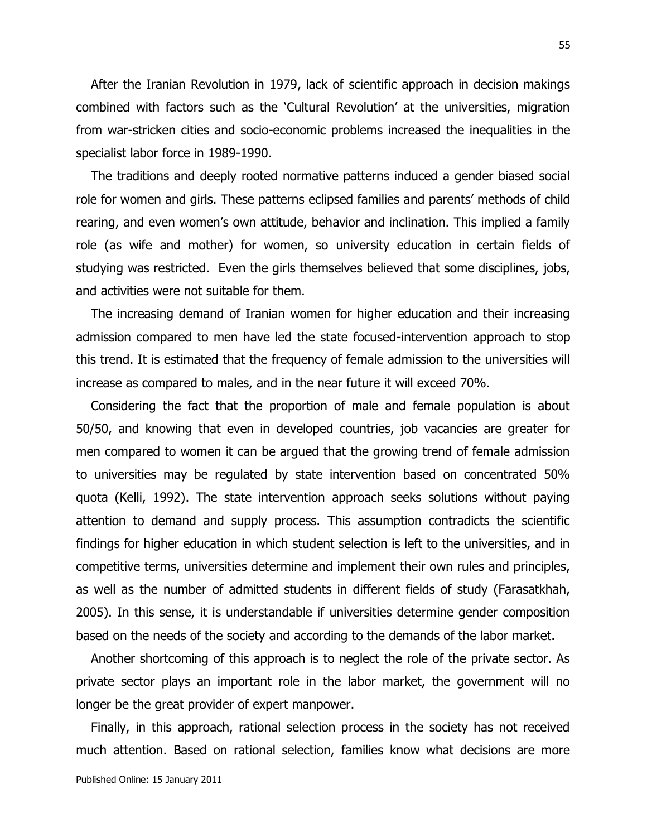After the Iranian Revolution in 1979, lack of scientific approach in decision makings combined with factors such as the "Cultural Revolution" at the universities, migration from war-stricken cities and socio-economic problems increased the inequalities in the specialist labor force in 1989-1990.

The traditions and deeply rooted normative patterns induced a gender biased social role for women and girls. These patterns eclipsed families and parents' methods of child rearing, and even women's own attitude, behavior and inclination. This implied a family role (as wife and mother) for women, so university education in certain fields of studying was restricted. Even the girls themselves believed that some disciplines, jobs, and activities were not suitable for them.

The increasing demand of Iranian women for higher education and their increasing admission compared to men have led the state focused-intervention approach to stop this trend. It is estimated that the frequency of female admission to the universities will increase as compared to males, and in the near future it will exceed 70%.

Considering the fact that the proportion of male and female population is about 50/50, and knowing that even in developed countries, job vacancies are greater for men compared to women it can be argued that the growing trend of female admission to universities may be regulated by state intervention based on concentrated 50% quota (Kelli, 1992). The state intervention approach seeks solutions without paying attention to demand and supply process. This assumption contradicts the scientific findings for higher education in which student selection is left to the universities, and in competitive terms, universities determine and implement their own rules and principles, as well as the number of admitted students in different fields of study (Farasatkhah, 2005). In this sense, it is understandable if universities determine gender composition based on the needs of the society and according to the demands of the labor market.

Another shortcoming of this approach is to neglect the role of the private sector. As private sector plays an important role in the labor market, the government will no longer be the great provider of expert manpower.

Finally, in this approach, rational selection process in the society has not received much attention. Based on rational selection, families know what decisions are more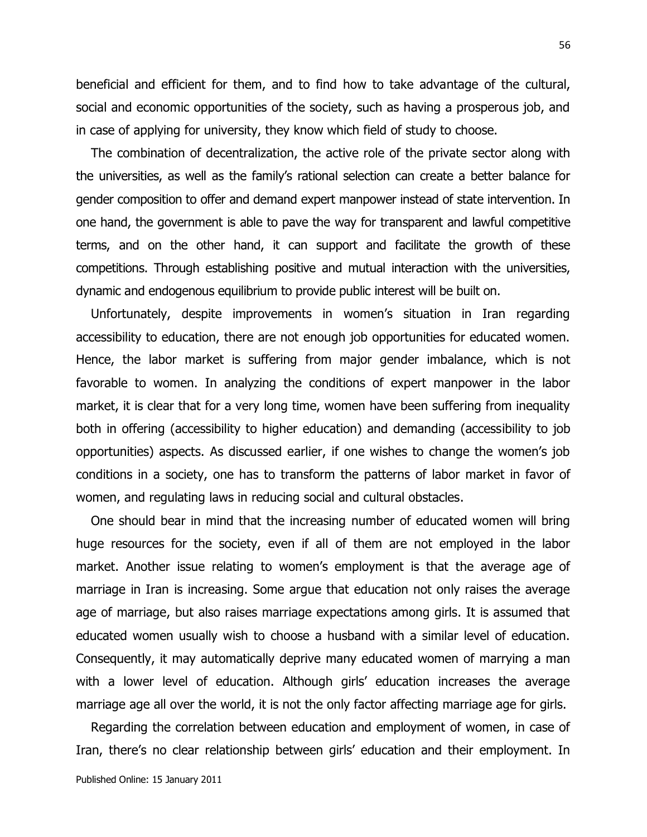beneficial and efficient for them, and to find how to take advantage of the cultural, social and economic opportunities of the society, such as having a prosperous job, and in case of applying for university, they know which field of study to choose.

The combination of decentralization, the active role of the private sector along with the universities, as well as the family"s rational selection can create a better balance for gender composition to offer and demand expert manpower instead of state intervention. In one hand, the government is able to pave the way for transparent and lawful competitive terms, and on the other hand, it can support and facilitate the growth of these competitions. Through establishing positive and mutual interaction with the universities, dynamic and endogenous equilibrium to provide public interest will be built on.

Unfortunately, despite improvements in women's situation in Iran regarding accessibility to education, there are not enough job opportunities for educated women. Hence, the labor market is suffering from major gender imbalance, which is not favorable to women. In analyzing the conditions of expert manpower in the labor market, it is clear that for a very long time, women have been suffering from inequality both in offering (accessibility to higher education) and demanding (accessibility to job opportunities) aspects. As discussed earlier, if one wishes to change the women"s job conditions in a society, one has to transform the patterns of labor market in favor of women, and regulating laws in reducing social and cultural obstacles.

One should bear in mind that the increasing number of educated women will bring huge resources for the society, even if all of them are not employed in the labor market. Another issue relating to women"s employment is that the average age of marriage in Iran is increasing. Some argue that education not only raises the average age of marriage, but also raises marriage expectations among girls. It is assumed that educated women usually wish to choose a husband with a similar level of education. Consequently, it may automatically deprive many educated women of marrying a man with a lower level of education. Although girls' education increases the average marriage age all over the world, it is not the only factor affecting marriage age for girls.

Regarding the correlation between education and employment of women, in case of Iran, there's no clear relationship between girls' education and their employment. In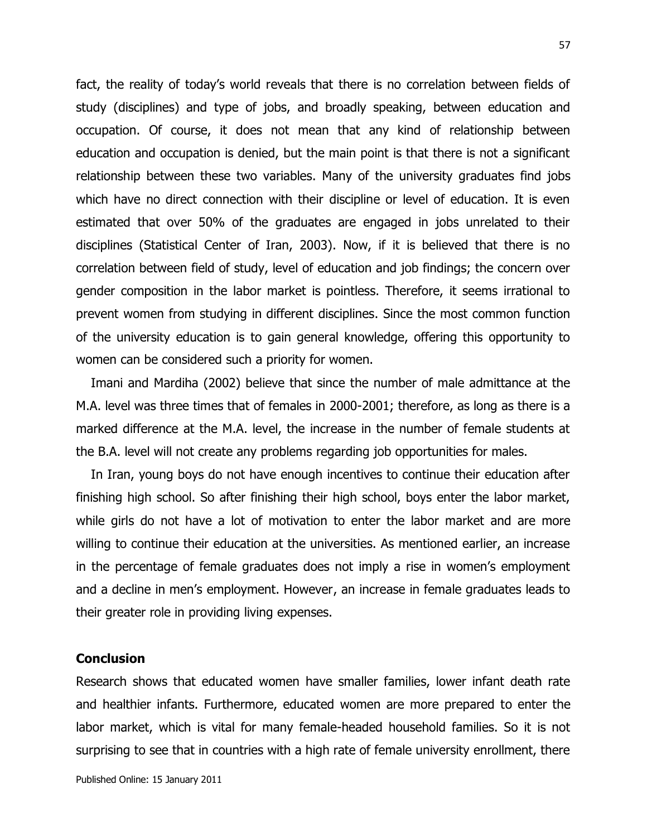fact, the reality of today's world reveals that there is no correlation between fields of study (disciplines) and type of jobs, and broadly speaking, between education and occupation. Of course, it does not mean that any kind of relationship between education and occupation is denied, but the main point is that there is not a significant relationship between these two variables. Many of the university graduates find jobs which have no direct connection with their discipline or level of education. It is even estimated that over 50% of the graduates are engaged in jobs unrelated to their disciplines (Statistical Center of Iran, 2003). Now, if it is believed that there is no correlation between field of study, level of education and job findings; the concern over gender composition in the labor market is pointless. Therefore, it seems irrational to prevent women from studying in different disciplines. Since the most common function of the university education is to gain general knowledge, offering this opportunity to women can be considered such a priority for women.

Imani and Mardiha (2002) believe that since the number of male admittance at the M.A. level was three times that of females in 2000-2001; therefore, as long as there is a marked difference at the M.A. level, the increase in the number of female students at the B.A. level will not create any problems regarding job opportunities for males.

In Iran, young boys do not have enough incentives to continue their education after finishing high school. So after finishing their high school, boys enter the labor market, while girls do not have a lot of motivation to enter the labor market and are more willing to continue their education at the universities. As mentioned earlier, an increase in the percentage of female graduates does not imply a rise in women's employment and a decline in men's employment. However, an increase in female graduates leads to their greater role in providing living expenses.

### **Conclusion**

Research shows that educated women have smaller families, lower infant death rate and healthier infants. Furthermore, educated women are more prepared to enter the labor market, which is vital for many female-headed household families. So it is not surprising to see that in countries with a high rate of female university enrollment, there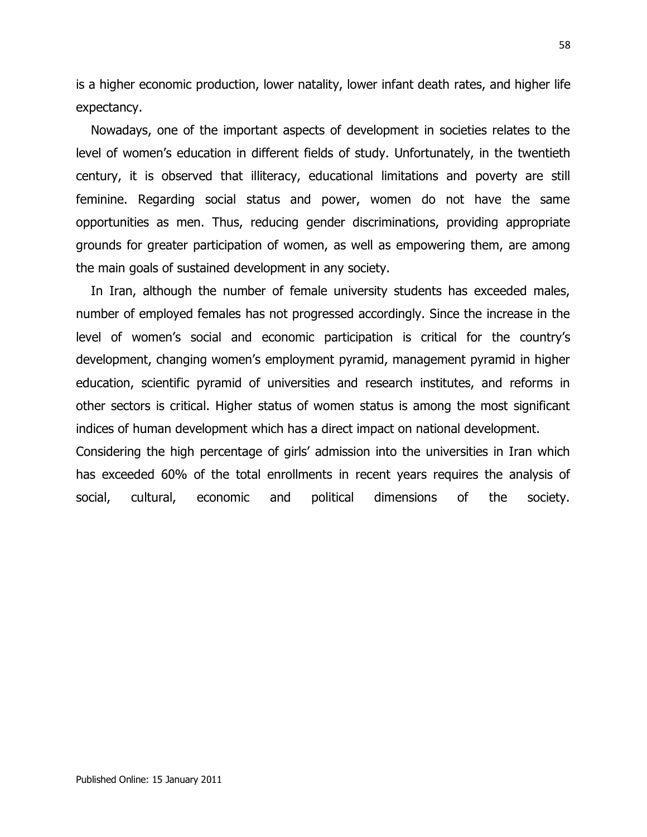is a higher economic production, lower natality, lower infant death rates, and higher life expectancy.

Nowadays, one of the important aspects of development in societies relates to the level of women's education in different fields of study. Unfortunately, in the twentieth century, it is observed that illiteracy, educational limitations and poverty are still feminine. Regarding social status and power, women do not have the same opportunities as men. Thus, reducing gender discriminations, providing appropriate grounds for greater participation of women, as well as empowering them, are among the main goals of sustained development in any society.

In Iran, although the number of female university students has exceeded males, number of employed females has not progressed accordingly. Since the increase in the level of women"s social and economic participation is critical for the country"s development, changing women"s employment pyramid, management pyramid in higher education, scientific pyramid of universities and research institutes, and reforms in other sectors is critical. Higher status of women status is among the most significant indices of human development which has a direct impact on national development.

Considering the high percentage of girls" admission into the universities in Iran which has exceeded 60% of the total enrollments in recent years requires the analysis of social, cultural, economic and political dimensions of the society.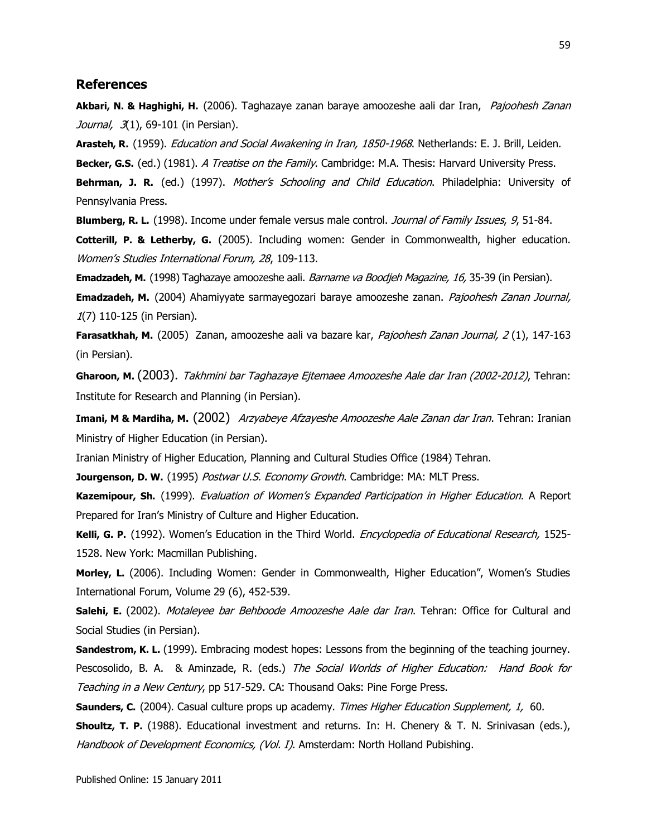#### **References**

**Akbari, N. & Haghighi, H.** (2006). Taghazaye zanan baraye amoozeshe aali dar Iran, Pajoohesh Zanan Journal, 3(1), 69-101 (in Persian).

**Arasteh, R.** (1959). Education and Social Awakening in Iran, 1850-1968. Netherlands: E. J. Brill, Leiden. **Becker, G.S.** (ed.) (1981). A Treatise on the Family. Cambridge: M.A. Thesis: Harvard University Press. **Behrman, J. R.** (ed.) (1997). *Mother's Schooling and Child Education*. Philadelphia: University of Pennsylvania Press.

**Blumberg, R. L.** (1998). Income under female versus male control. *Journal of Family Issues*, 9, 51-84. **Cotterill, P. & Letherby, G.** (2005). Including women: Gender in Commonwealth, higher education. Women"s Studies International Forum, 28, 109-113.

**Emadzadeh, M.** (1998) Taghazaye amoozeshe aali. Barname va Boodjeh Magazine, 16, 35-39 (in Persian).

**Emadzadeh, M.** (2004) Ahamiyyate sarmayegozari baraye amoozeshe zanan. Pajoohesh Zanan Journal, 1(7) 110-125 (in Persian).

**Farasatkhah, M.** (2005) Zanan, amoozeshe aali va bazare kar, Pajoohesh Zanan Journal, 2 (1), 147-163 (in Persian).

**Gharoon, M.** (2003). Takhmini bar Taghazaye Ejtemaee Amoozeshe Aale dar Iran (2002-2012), Tehran: Institute for Research and Planning (in Persian).

**Imani, M & Mardiha, M.** (2002) Arzyabeye Afzayeshe Amoozeshe Aale Zanan dar Iran. Tehran: Iranian Ministry of Higher Education (in Persian).

Iranian Ministry of Higher Education, Planning and Cultural Studies Office (1984) Tehran.

Jourgenson, D. W. (1995) Postwar U.S. Economy Growth. Cambridge: MA: MLT Press.

Kazemipour, Sh. (1999). *Evaluation of Women's Expanded Participation in Higher Education*. A Report Prepared for Iran"s Ministry of Culture and Higher Education.

Kelli, G. P. (1992). Women's Education in the Third World. *Encyclopedia of Educational Research,* 1525-1528. New York: Macmillan Publishing.

Morley, L. (2006). Including Women: Gender in Commonwealth, Higher Education", Women's Studies International Forum, Volume 29 (6), 452-539.

**Salehi, E.** (2002). *Motaleyee bar Behboode Amoozeshe Aale dar Iran*. Tehran: Office for Cultural and Social Studies (in Persian).

**Sandestrom, K. L.** (1999). Embracing modest hopes: Lessons from the beginning of the teaching journey. Pescosolido, B. A. & Aminzade, R. (eds.) The Social Worlds of Higher Education: Hand Book for Teaching in a New Century, pp 517-529. CA: Thousand Oaks: Pine Forge Press.

**Saunders, C.** (2004). Casual culture props up academy. Times Higher Education Supplement, 1, 60.

**Shoultz, T. P.** (1988). Educational investment and returns. In: H. Chenery & T. N. Srinivasan (eds.), Handbook of Development Economics, (Vol. I). Amsterdam: North Holland Pubishing.